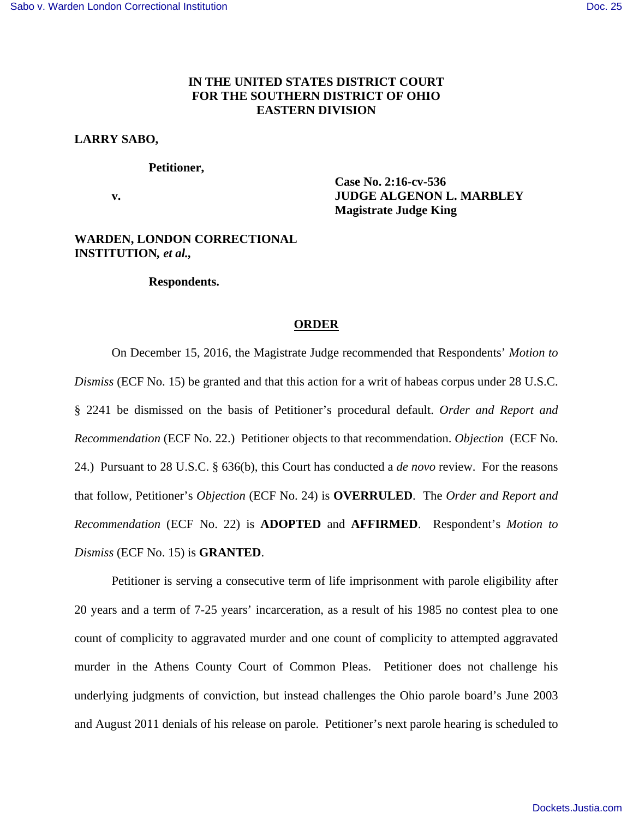# **IN THE UNITED STATES DISTRICT COURT FOR THE SOUTHERN DISTRICT OF OHIO EASTERN DIVISION**

### **LARRY SABO,**

#### **Petitioner,**

 **Case No. 2:16-cv-536 v. JUDGE ALGENON L. MARBLEY Magistrate Judge King**

# **WARDEN, LONDON CORRECTIONAL INSTITUTION***, et al.,*

#### **Respondents.**

### **ORDER**

 On December 15, 2016, the Magistrate Judge recommended that Respondents' *Motion to Dismiss* (ECF No. 15) be granted and that this action for a writ of habeas corpus under 28 U.S.C. § 2241 be dismissed on the basis of Petitioner's procedural default. *Order and Report and Recommendation* (ECF No. 22.) Petitioner objects to that recommendation. *Objection* (ECF No. 24.) Pursuant to 28 U.S.C. § 636(b), this Court has conducted a *de novo* review. For the reasons that follow, Petitioner's *Objection* (ECF No. 24) is **OVERRULED**. The *Order and Report and Recommendation* (ECF No. 22) is **ADOPTED** and **AFFIRMED**. Respondent's *Motion to Dismiss* (ECF No. 15) is **GRANTED**.

 Petitioner is serving a consecutive term of life imprisonment with parole eligibility after 20 years and a term of 7-25 years' incarceration, as a result of his 1985 no contest plea to one count of complicity to aggravated murder and one count of complicity to attempted aggravated murder in the Athens County Court of Common Pleas. Petitioner does not challenge his underlying judgments of conviction, but instead challenges the Ohio parole board's June 2003 and August 2011 denials of his release on parole. Petitioner's next parole hearing is scheduled to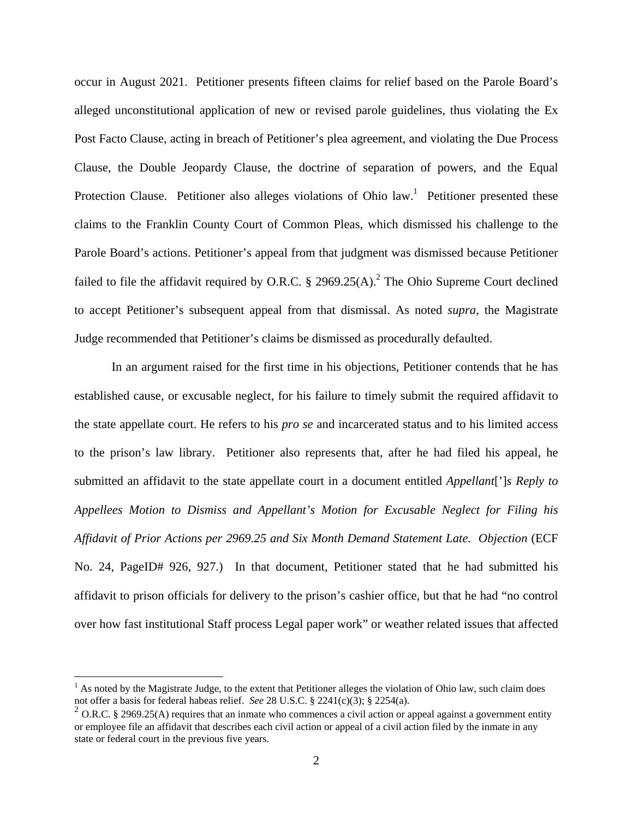occur in August 2021. Petitioner presents fifteen claims for relief based on the Parole Board's alleged unconstitutional application of new or revised parole guidelines, thus violating the Ex Post Facto Clause, acting in breach of Petitioner's plea agreement, and violating the Due Process Clause, the Double Jeopardy Clause, the doctrine of separation of powers, and the Equal Protection Clause. Petitioner also alleges violations of Ohio  $law$ <sup>1</sup>. Petitioner presented these claims to the Franklin County Court of Common Pleas, which dismissed his challenge to the Parole Board's actions. Petitioner's appeal from that judgment was dismissed because Petitioner failed to file the affidavit required by O.R.C.  $\S$  2969.25(A).<sup>2</sup> The Ohio Supreme Court declined to accept Petitioner's subsequent appeal from that dismissal. As noted *supra*, the Magistrate Judge recommended that Petitioner's claims be dismissed as procedurally defaulted.

 In an argument raised for the first time in his objections, Petitioner contends that he has established cause, or excusable neglect, for his failure to timely submit the required affidavit to the state appellate court. He refers to his *pro se* and incarcerated status and to his limited access to the prison's law library. Petitioner also represents that, after he had filed his appeal, he submitted an affidavit to the state appellate court in a document entitled *Appellant*[']*s Reply to Appellees Motion to Dismiss and Appellant's Motion for Excusable Neglect for Filing his Affidavit of Prior Actions per 2969.25 and Six Month Demand Statement Late. Objection* (ECF No. 24, PageID# 926, 927.) In that document, Petitioner stated that he had submitted his affidavit to prison officials for delivery to the prison's cashier office, but that he had "no control over how fast institutional Staff process Legal paper work" or weather related issues that affected

<u>.</u>

 $<sup>1</sup>$  As noted by the Magistrate Judge, to the extent that Petitioner alleges the violation of Ohio law, such claim does</sup> not offer a basis for federal habeas relief. *See* 28 U.S.C. § 2241(c)(3); § 2254(a).

<sup>&</sup>lt;sup>2</sup> O.R.C. § 2969.25(A) requires that an inmate who commences a civil action or appeal against a government entity or employee file an affidavit that describes each civil action or appeal of a civil action filed by the inmate in any state or federal court in the previous five years.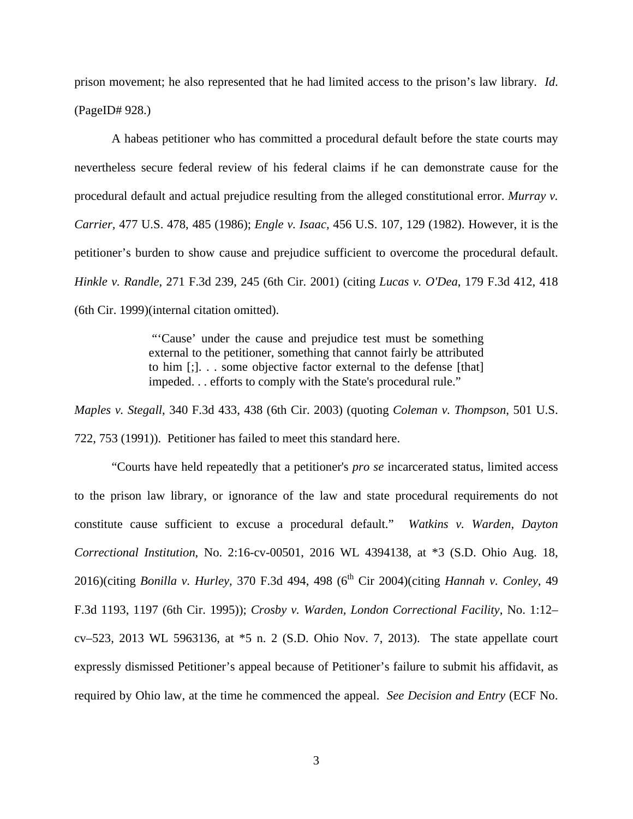prison movement; he also represented that he had limited access to the prison's law library*. Id*. (PageID# 928.)

A habeas petitioner who has committed a procedural default before the state courts may nevertheless secure federal review of his federal claims if he can demonstrate cause for the procedural default and actual prejudice resulting from the alleged constitutional error. *Murray v. Carrier,* 477 U.S. 478, 485 (1986); *Engle v. Isaac,* 456 U.S. 107, 129 (1982). However, it is the petitioner's burden to show cause and prejudice sufficient to overcome the procedural default. *Hinkle v. Randle*, 271 F.3d 239, 245 (6th Cir. 2001) (citing *Lucas v. O'Dea*, 179 F.3d 412, 418 (6th Cir. 1999)(internal citation omitted).

> "Cause' under the cause and prejudice test must be something external to the petitioner, something that cannot fairly be attributed to him [;]. . . some objective factor external to the defense [that] impeded. . . efforts to comply with the State's procedural rule."

*Maples v. Stegall*, 340 F.3d 433, 438 (6th Cir. 2003) (quoting *Coleman v. Thompson*, 501 U.S. 722, 753 (1991)). Petitioner has failed to meet this standard here.

"Courts have held repeatedly that a petitioner's *pro se* incarcerated status, limited access to the prison law library, or ignorance of the law and state procedural requirements do not constitute cause sufficient to excuse a procedural default." *Watkins v. Warden, Dayton Correctional Institution*, No. 2:16-cv-00501, 2016 WL 4394138, at \*3 (S.D. Ohio Aug. 18, 2016)(citing *Bonilla v. Hurley, 370 F.3d 494, 498 (6<sup>th</sup> Cir 2004)(citing <i>Hannah v. Conley, 49* F.3d 1193, 1197 (6th Cir. 1995)); *Crosby v. Warden, London Correctional Facility*, No. 1:12– cv–523, 2013 WL 5963136, at \*5 n. 2 (S.D. Ohio Nov. 7, 2013). The state appellate court expressly dismissed Petitioner's appeal because of Petitioner's failure to submit his affidavit, as required by Ohio law, at the time he commenced the appeal. *See Decision and Entry* (ECF No.